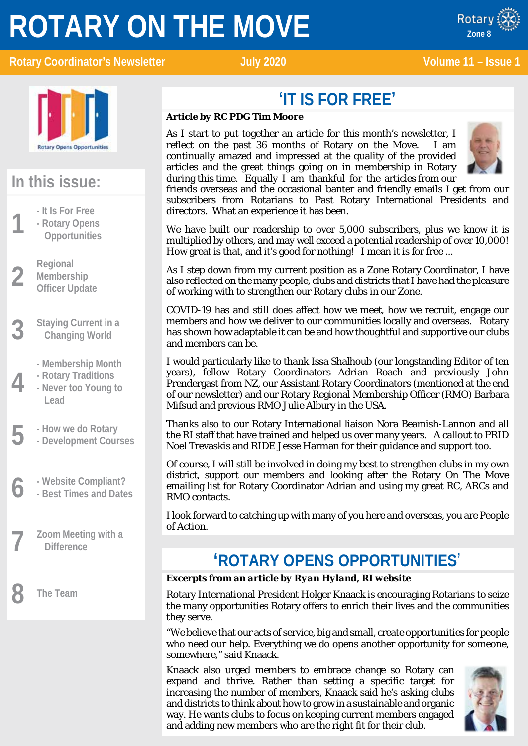# **ROTARY ON THE MOVE**



### **Rotary Coordinator's Newsletter Manual State July 2020 Manual State 11 – Issue 1**



x ROTARY

### **In this issue:**

- 
- **1 1 - It Is For Free**<br>**1 - Rotary Open**<br>**1 Deportunities - Rotary Opens Opportunities**
- **2 Regional**<br>**2 Members**<br>**Officer Up Membership Officer Update**
- **3 Staying Current in a Changing World**
	-
	- **- Rotary Traditions**
- **4 - Membership Month - Never too Young to Lead**
- 
- **5 - How we do Rotary - Development Courses**
- **6 - Website Compliant? - Best Times and Dates**
- **7 Zoom Meeting with a Difference**

**8 The Team**

# **'IT IS FOR FREE'**

### *Article by RC PDG Tim Moore*

As I start to put together an article for this month's newsletter, I reflect on the past 36 months of Rotary on the Move. I am continually amazed and impressed at the quality of the provided articles and the great things going on in membership in Rotary during this time. Equally I am thankful for the articles from our



friends overseas and the occasional banter and friendly emails I get from our subscribers from Rotarians to Past Rotary International Presidents and directors. What an experience it has been.

We have built our readership to over 5,000 subscribers, plus we know it is multiplied by others, and may well exceed a potential readership of over 10,000! How great is that, and it's good for nothing! I mean it is for free ...

As I step down from my current position as a Zone Rotary Coordinator, I have also reflected on the many people, clubs and districts that I have had the pleasure of working with to strengthen our Rotary clubs in our Zone.

COVID-19 has and still does affect how we meet, how we recruit, engage our members and how we deliver to our communities locally and overseas. Rotary has shown how adaptable it can be and how thoughtful and supportive our clubs and members can be.

I would particularly like to thank Issa Shalhoub (our longstanding Editor of ten years), fellow Rotary Coordinators Adrian Roach and previously John Prendergast from NZ, our Assistant Rotary Coordinators (mentioned at the end of our newsletter) and our Rotary Regional Membership Officer (RMO) Barbara Mifsud and previous RMO Julie Albury in the USA.

Thanks also to our Rotary International liaison Nora Beamish-Lannon and all the RI staff that have trained and helped us over many years. A callout to PRID Noel Trevaskis and RIDE Jesse Harman for their guidance and support too.

Of course, I will still be involved in doing my best to strengthen clubs in my own district, support our members and looking after the Rotary On The Move emailing list for Rotary Coordinator Adrian and using my great RC, ARCs and RMO contacts.

I look forward to catching up with many of you here and overseas, you are People of Action.

### **'ROTARY OPENS OPPORTUNITIES**'

### *Excerpts from an article by Ryan Hyland, RI website*

Rotary International President Holger Knaack is encouraging Rotarians to seize the many opportunities Rotary offers to enrich their lives and the communities they serve.

"We believe that our acts of service, big and small, create opportunities for people who need our help. Everything we do opens another opportunity for someone, somewhere," said Knaack.

Knaack also urged members to embrace change so Rotary can expand and thrive. Rather than setting a specific target for increasing the number of members, Knaack said he's asking clubs and districts to think about how to grow in a sustainable and organic way. He wants clubs to focus on keeping current members engaged and adding new members who are the right fit for their club.

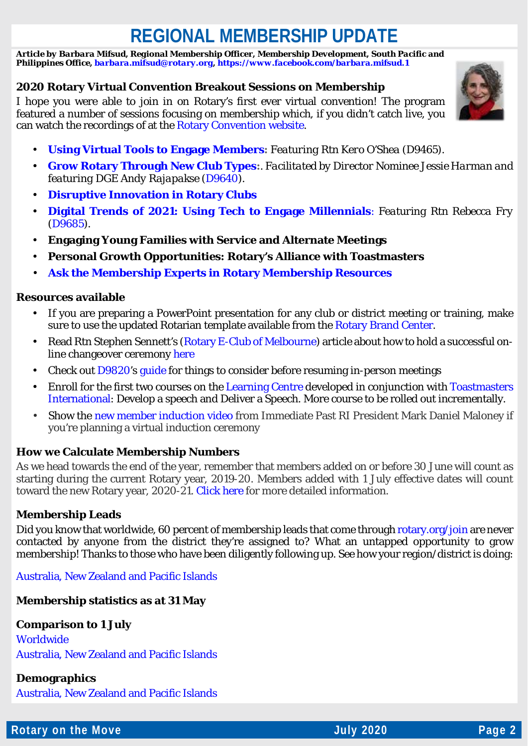# **REGIONAL MEMBERSHIP UPDATE**

*Article by Barbara Mifsud, Regional Membership Officer, Membership Development, South Pacific and Philippines Office[, barbara.mifsud@rotary.org,](mailto:barbara.mifsud@rotary.org)<https://www.facebook.com/barbara.mifsud.1>*

### **2020 Rotary Virtual Convention Breakout Sessions on Membership**

I hope you were able to join in on Rotary's first ever virtual convention! The program featured a number of sessions focusing on membership which, if you didn't catch live, you can watch the recordings of at the [Rotary Convention website.](https://www.riconvention.org/en)



- **[Using Virtual Tools to Engage Members:](https://screencast-o-matic.com/watch/cY10rhCS16)** *Featuring Rtn Kero O'Shea (D9465).*  $\mathbf{r}$
- **[Grow Rotary Through New Club Types:](https://screencast-o-matic.com/watch/cY1Z3e5nh9)**. *Facilitated by Director Nominee Jessie Harman and featuring DGE Andy Rajapakse [\(D9640\)](https://www.rotary9640.org/).*
- **[Disruptive Innovation in Rotary Clubs](https://screencast-o-matic.com/watch/cY1TYd5h4l)**
- **[Digital Trends of 2021: Using Tech to Engage Millennials](https://screencast-o-matic.com/watch/cY1OFw5jwZ)**: *Featuring Rtn Rebecca Fry [\(D9685\)](https://www.rotarydistrict9685.org.au/).*
- **Engaging Young Families with Service and Alternate Meetings**
- **Personal Growth Opportunities: Rotary's Alliance with Toastmasters**
- **[Ask the Membership Experts in Rotary Membership Resources](https://vimeo.com/channels/rotarymembership/432696867)**

### **Resources available**

- If you are preparing a PowerPoint presentation for any club or district meeting or training, make sure to use the updated Rotarian template available from the [Rotary Brand Center.](https://brandcenter.rotary.org/en-GB)
- Read Rtn Stephen Sennett's [\(Rotary E-Club of Melbourne\)](https://rotaryeclubofmelbourne.org.au/) article about how to hold a successful online changeover ceremony [here](https://blog.rotary.org/2020/05/26/holding-a-changeover-ceremony-virtually/)
- Check out [D9820'](https://www.district9820.org/)s [guide](https://www.dropbox.com/s/fs0axlnur3qfh0z/COVID-19V2.pdf?dl=0) for things to consider before resuming in-person meetings
- Enroll for the first two courses on the [Learning Centre](https://learn.rotary.org/members/learn/catalog) developed in conjunction with [Toastmasters](https://www.toastmasters.org/)  [International:](https://www.toastmasters.org/) Develop a speech and Deliver a Speech. More course to be rolled out incrementally.
- Show the [new member induction video](https://nam02.safelinks.protection.outlook.com/?url=http%3A%2F%2Fmsgfocus.rotary.org%2Fc%2F11Tf6RoT3H7UJp2An5WOaZzUBQE3&data=02%7C01%7Cbarbara.mifsud%40rotary.org%7C0ab58ef93ff344616b7008d80d60aead%7C67b4e0430afd4afb8b94bf96370c8e7f%7C1%7C0%7C637274056184942352&sdata=u3vlz6LveDqvZaKHOShzUFZHzNuzTYuIO1qVV55Gu8Y%3D&reserved=0) from Immediate Past RI President Mark Daniel Maloney if you're planning a virtual induction ceremony

### **How we Calculate Membership Numbers**

As we head towards the end of the year, remember that members added on or before 30 June will count as starting during the current Rotary year, 2019-20. Members added with 1 July effective dates will count toward the new Rotary year, 2020-21. [Click here](https://www.dropbox.com/s/nr490u2kn2e3qjo/Howe%20we%20calcute%20membership%20numbers.docx?dl=0) for more detailed information.

### **Membership Leads**

Did you know that worldwide, 60 percent of membership leads that come through [rotary.org/join](https://www.rotary.org/en/get-involved/join) are never contacted by anyone from the district they're assigned to? What an untapped opportunity to grow membership! Thanks to those who have been diligently following up. See how your region/district is doing:

[Australia, New Zealand and Pacific Islands](https://www.dropbox.com/s/6vvo3x2rh4m3mw3/20200615%20-%20Zone%208%20-%20RMO_Membership_Leads_Success_Report%20%2860%29.pdf?dl=0)

### **Membership statistics as at 31 May**

### **Comparison to 1 July**

[Worldwide](https://nam02.safelinks.protection.outlook.com/?url=http%3A%2F%2Fmsgfocus.rotary.org%2Fc%2F1fCONUeQxTvbhpk6x3Z8FbRA&data=02%7C01%7Cnerissa.dansou%40rotary.org%7Cd24859664b39489ae3e808d8089f26a0%7C67b4e0430afd4afb8b94bf96370c8e7f%7C1%7C0%7C637268826926189587&sdata=1wNxQcz3vSZViR5z5tNO37SMIIqtJGYCiri%2F0W%2FWYkk%3D&reserved=0) [Australia, New Zealand and Pacific Islands](https://www.dropbox.com/s/5b06knnw042i05d/20200615%20-%20Comparison_to_1_July%20-%202020-06-15T013217.159.pdf?dl=0)

### **Demographics** [Australia, New Zealand and Pacific Islands](https://www.dropbox.com/s/dhdfxyw23sx1ngj/20200615%20-%20Zone%208%20-%20DistrictMembershipProgressToGoal%20%2852%29.pdf?dl=0)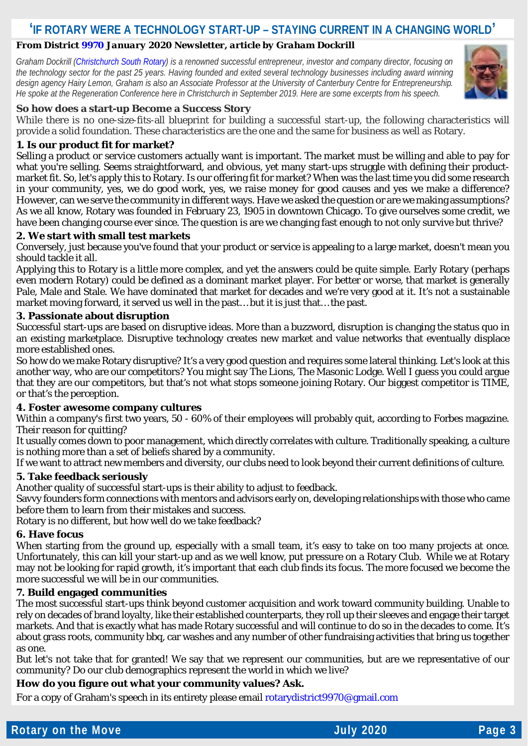### **'IF ROTARY WERE A TECHNOLOGY START-UP – STAYING CURRENT IN A CHANGING WORLD'**

### *From Distric[t 9970](https://rotarydistrict9970.org/) January 2020 Newsletter, article by Graham Dockrill*

*Graham Dockrill [\(Christchurch South Rotary\)](http://www.christchurchsouthrotary.org.nz/) is a renowned successful entrepreneur, investor and company director, focusing on the technology sector for the past 25 years. Having founded and exited several technology businesses including award winning design agency Hairy Lemon, Graham is also an Associate Professor at the University of Canterbury Centre for Entrepreneurship. He spoke at the Regeneration Conference here in Christchurch in September 2019. Here are some excerpts from his speech.*



### **So how does a start-up Become a Success Story**

While there is no one-size-fits-all blueprint for building a successful start-up, the following characteristics will provide a solid foundation. These characteristics are the one and the same for business as well as Rotary.

### **1. Is our product fit for market?**

Selling a product or service customers actually want is important. The market must be willing and able to pay for what you're selling. Seems straightforward, and obvious, yet many start-ups struggle with defining their productmarket fit. So, let's apply this to Rotary. Is our offering fit for market? When was the last time you did some research in your community, yes, we do good work, yes, we raise money for good causes and yes we make a difference? However, can we serve the community in different ways. Have we asked the question or are we making assumptions? As we all know, Rotary was founded in February 23, 1905 in downtown Chicago. To give ourselves some credit, we have been changing course ever since. The question is are we changing fast enough to not only survive but thrive?

#### **2. We start with small test markets**

Conversely, just because you've found that your product or service is appealing to a large market, doesn't mean you *should* tackle it all.

Applying this to Rotary is a little more complex, and yet the answers could be quite simple. Early Rotary (perhaps even modern Rotary) could be defined as a dominant market player. For better or worse, that market is generally Pale, Male and Stale. We have dominated that market for decades and we're very good at it. It's not a sustainable market moving forward, it served us well in the past… but it is just that… the past.

### **3. Passionate about disruption**

Successful start-ups are based on disruptive ideas. More than a buzzword, disruption is changing the status quo in an existing marketplace. Disruptive technology creates new market and value networks that eventually displace more established ones.

So how do we make Rotary disruptive? It's a very good question and requires some lateral thinking. Let's look at this another way, who are our competitors? You might say The Lions, The Masonic Lodge. Well I guess you could argue that they are our competitors, but that's not what stops someone joining Rotary. Our biggest competitor is TIME, or that's the perception.

#### **4. Foster awesome company cultures**

Within a company's first two years, 50 - 60% of their employees will probably quit, according to Forbes magazine. Their reason for quitting?

It usually comes down to poor management, which directly correlates with culture. Traditionally speaking, a culture is nothing more than a set of beliefs shared by a community.

If we want to attract new members and diversity, our clubs need to look beyond their current definitions of culture.

### **5. Take feedback seriously**

Another quality of successful start-ups is their ability to adjust to feedback.

Savvy founders form connections with mentors and advisors early on, developing relationships with those who came before them to learn from their mistakes and success.

Rotary is no different, but how well do we take feedback?

#### **6. Have focus**

When starting from the ground up, especially with a small team, it's easy to take on too many projects at once. Unfortunately, this can kill your start-up and as we well know, put pressure on a Rotary Club. While we at Rotary may not be looking for rapid growth, it's important that each club finds its focus. The more focused we become the more successful we will be in our communities.

#### **7. Build engaged communities**

The most successful start-ups think beyond customer acquisition and work toward community building. Unable to rely on decades of brand loyalty, like their established counterparts, they roll up their sleeves and engage their target markets. And that is exactly what has made Rotary successful and will continue to do so in the decades to come. It's about grass roots, community bbq, car washes and any number of other fundraising activities that bring us together as one.

But let's not take that for granted! We say that we represent our communities, but are we representative of our community? Do our club demographics represent the world in which we live?

### **How do you figure out what your community values? Ask.**

For a copy of Graham's speech in its entirety please email rotary district 9970@gmail.com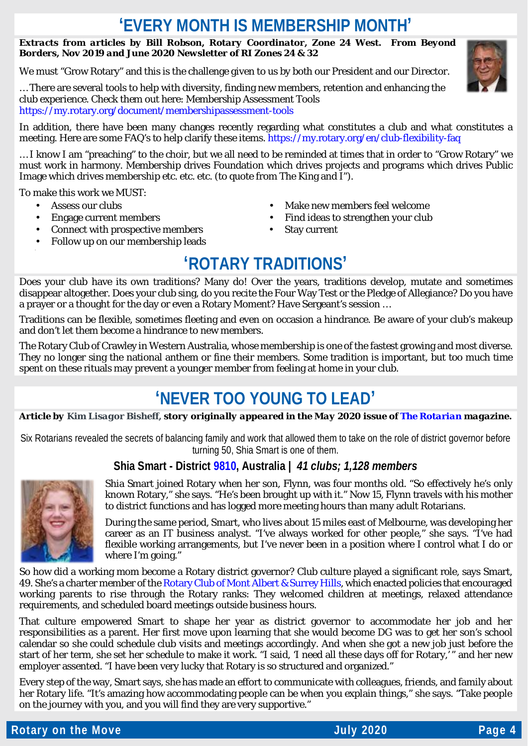### **'EVERY MONTH IS MEMBERSHIP MONTH'**

### *Extracts from articles by Bill Robson, Rotary Coordinator, Zone 24 West. From Beyond Borders, Nov 2019 and June 2020 Newsletter of RI Zones 24 & 32*

We must "Grow Rotary" and this is the challenge given to us by both our President and our Director.

… There are several tools to help with diversity, finding new members, retention and enhancing the club experience. Check them out here: Membership Assessment Tools <https://my.rotary.org/document/membershipassessment-tools>

In addition, there have been many changes recently regarding what constitutes a club and what constitutes a meeting. Here are some FAQ's to help clarify these items[. https://my.rotary.org/en/club-flexibility-faq](https://my.rotary.org/en/club-flexibility-faq)

… I know I am "preaching" to the choir, but we all need to be reminded at times that in order to "Grow Rotary" we must work in harmony. Membership drives Foundation which drives projects and programs which drives Public Image which drives membership etc. etc. etc. (to quote from The King and I").

To make this work we MUST:

- $\mathbf{r}$ Assess our clubs
- Engage current members
- Connect with prospective members
- Follow up on our membership leads
- Make new members feel welcome
- Find ideas to strengthen your club
- Stay current

### **'ROTARY TRADITIONS'**

Does your club have its own traditions? Many do! Over the years, traditions develop, mutate and sometimes disappear altogether. Does your club sing, do you recite the Four Way Test or the Pledge of Allegiance? Do you have a prayer or a thought for the day or even a Rotary Moment? Have Sergeant's session …

Traditions can be flexible, sometimes fleeting and even on occasion a hindrance. Be aware of your club's makeup and don't let them become a hindrance to new members.

The Rotary Club of Crawley in Western Australia, whose membership is one of the fastest growing and most diverse. They no longer sing the national anthem or fine their members. Some tradition is important, but too much time spent on these rituals may prevent a younger member from feeling at home in your club.

### **'NEVER TOO YOUNG TO LEAD'**

*Article by Kim Lisagor Bisheff, story originally appeared in the May 2020 issue of [The Rotarian](https://my.rotary.org/en/news-media/magazines/rotarian) magazine.*

Six Rotarians revealed the secrets of balancing family and work that allowed them to take on the role of district governor before turning 50, Shia Smart is one of them.

### **Shia Smart - District [9810,](https://www.9810rotary.org.au/) Australia |** *41 clubs; 1,128 members*



Shia Smart joined Rotary when her son, Flynn, was four months old. "So effectively he's only known Rotary," she says. "He's been brought up with it." Now 15, Flynn travels with his mother to district functions and has logged more meeting hours than many adult Rotarians.

During the same period, Smart, who lives about 15 miles east of Melbourne, was developing her career as an IT business analyst. "I've always worked for other people," she says. "I've had flexible working arrangements, but I've never been in a position where I control what I do or where I'm going."

So how did a working mom become a Rotary district governor? Club culture played a significant role, says Smart, 49. She's a charter member of th[e Rotary Club of Mont Albert & Surrey Hills,](https://www.rotarymash.org.au/) which enacted policies that encouraged working parents to rise through the Rotary ranks: They welcomed children at meetings, relaxed attendance requirements, and scheduled board meetings outside business hours.

That culture empowered Smart to shape her year as district governor to accommodate her job and her responsibilities as a parent. Her first move upon learning that she would become DG was to get her son's school calendar so she could schedule club visits and meetings accordingly. And when she got a new job just before the start of her term, she set her schedule to make it work. "I said, 'I need all these days off for Rotary,' " and her new employer assented. "I have been very lucky that Rotary is so structured and organized."

Every step of the way, Smart says, she has made an effort to communicate with colleagues, friends, and family about her Rotary life. "It's amazing how accommodating people can be when you explain things," she says. "Take people on the journey with you, and you will find they are very supportive."

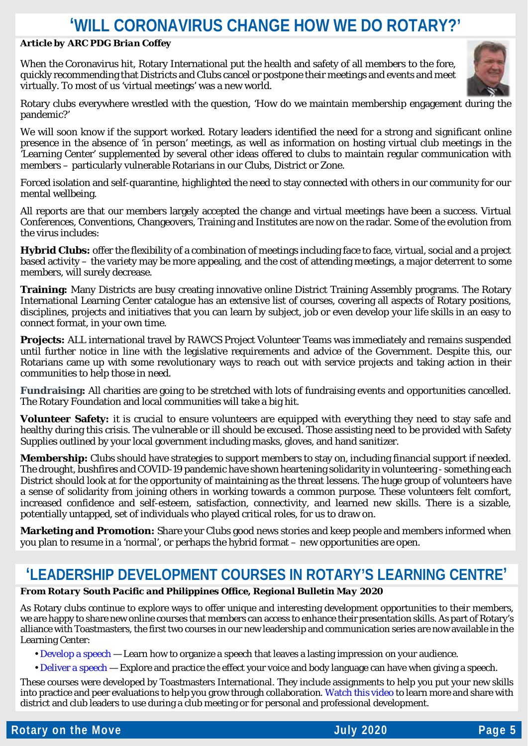### **'WILL CORONAVIRUS CHANGE HOW WE DO ROTARY?'**

### *Article by ARC PDG Brian Coffey*

When the Coronavirus hit, Rotary International put the health and safety of all members to the fore, quickly recommending that Districts and Clubs cancel or postpone their meetings and events and meet virtually. To most of us 'virtual meetings' was a new world.



Rotary clubs everywhere wrestled with the question, 'How do we maintain membership engagement during the pandemic?'

We will soon know if the support worked. Rotary leaders identified the need for a strong and significant online presence in the absence of 'in person' meetings, as well as information on hosting virtual club meetings in the 'Learning Center' supplemented by several other ideas offered to clubs to maintain regular communication with members – particularly vulnerable Rotarians in our Clubs, District or Zone.

Forced isolation and self-quarantine, highlighted the need to stay connected with others in our community for our mental wellbeing.

All reports are that our members largely accepted the change and virtual meetings have been a success. Virtual Conferences, Conventions, Changeovers, Training and Institutes are now on the radar. Some of the evolution from the virus includes:

**Hybrid Clubs:** offer the flexibility of a combination of meetings including face to face, virtual, social and a project based activity – the variety may be more appealing, and the cost of attending meetings, a major deterrent to some members, will surely decrease.

**Training:** Many Districts are busy creating innovative online District Training Assembly programs. The Rotary International Learning Center catalogue has an extensive list of courses, covering all aspects of Rotary positions, disciplines, projects and initiatives that you can learn by subject, job or even develop your life skills in an easy to connect format, in your own time.

**Projects:** ALL international travel by RAWCS Project Volunteer Teams was immediately and remains suspended until further notice in line with the legislative requirements and advice of the Government. Despite this, our Rotarians came up with some revolutionary ways to reach out with service projects and taking action in their communities to help those in need.

**Fundraising:** All charities are going to be stretched with lots of fundraising events and opportunities cancelled. The Rotary Foundation and local communities will take a big hit.

**Volunteer Safety:** it is crucial to ensure volunteers are equipped with everything they need to stay safe and healthy during this crisis. The vulnerable or ill should be excused. Those assisting need to be provided with Safety Supplies outlined by your local government including masks, gloves, and hand sanitizer.

**Membership:** Clubs should have strategies to support members to stay on, including financial support if needed. The drought, bushfires and COVID-19 pandemic have shown heartening solidarity in volunteering - something each District should look at for the opportunity of maintaining as the threat lessens. The huge group of volunteers have a sense of solidarity from joining others in working towards a common purpose. These volunteers felt comfort, increased confidence and self-esteem, satisfaction, connectivity, and learned new skills. There is a sizable, potentially untapped, set of individuals who played critical roles, for us to draw on.

**Marketing and Promotion:** Share your Clubs good news stories and keep people and members informed when you plan to resume in a 'normal', or perhaps the hybrid format – new opportunities are open.

### **'LEADERSHIP DEVELOPMENT COURSES IN ROTARY'S LEARNING CENTRE'**

### *From Rotary South Pacific and Philippines Office, Regional Bulletin May 2020*

As Rotary clubs continue to explore ways to offer unique and interesting development opportunities to their members, we are happy to share new online courses that members can access to enhance their presentation skills. As part of Rotary's alliance with Toastmasters, the first two courses in our new leadership and communication series are now available in the Learning Center:

- • [Develop a speech](https://my.rotary.org/learn?deep-link=https%3A//learn.rotary.org/members/learn/course/internal/view/elearning/701/toastmasters-speech-development) Learn how to organize a speech that leaves a lasting impression on your audience.
- • [Deliver a speech](https://my.rotary.org/learn?deep-link=https%3A//learn.rotary.org/members/learn/course/internal/view/elearning/800/toastmasters-speech-delivery) Explore and practice the effect your voice and body language can have when giving a speech.

These courses were developed by Toastmasters International. They include assignments to help you put your new skills into practice and peer evaluations to help you grow through collaboration[. Watch this video](https://youtu.be/uVrpTyMT8og) to learn more and share with district and club leaders to use during a club meeting or for personal and professional development.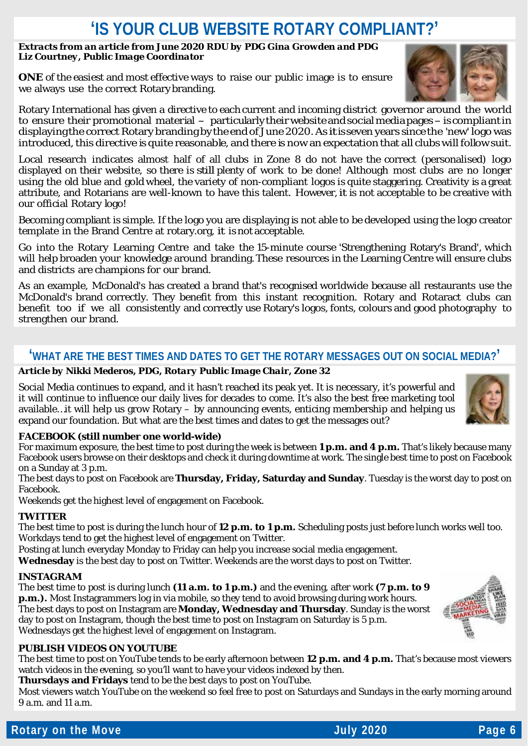### 'IS YOUR CLUB WEBSITE ROTARY COMPLIANT?'

#### *Extracts from an article from June 2020 RDU by PDG Gina Growden and PDG Liz Courtney, Public Image Coordinator*

**ONE** of the easiest and most effective ways to raise our public image is to ensure we always use the correct Rotary branding.

Rotary International has given a directive to each current and incoming district governor around the world to ensure their promotional material - particularly their website and social media pages - is compliant in displayingthe correct Rotary branding bythe endof June 2020.As itisseven years since the 'new' logo was introduced, this directive is quite reasonable, and there is now an expectation that all clubs will follow suit.

Local research indicates almost half of all clubs in Zone 8 do not have the correct (personalised) logo displayed on their website, so there is still plenty of work to be done! Although most clubs are no longer using the old blue and gold wheel, the variety of non-compliant logos is quite staggering. Creativity is a great attribute, and Rotarians are well-known to have this talent. However, it is not acceptable to be creative with our official Rotary logo!

Becoming compliant is simple. If the logo you are displaying is not able to be developed using the logo creator template in the Brand Centre at rotary.org, it is not acceptable.

Go into the Rotary Learning Centre and take the 15-minute course 'Strengthening Rotary's Brand', which will help broaden your knowledge around branding.These resources in the Learning Centre will ensure clubs and districts are champions for our brand.

As an example, McDonald's has created a brand that's recognised worldwide because all restaurants use the McDonald's brand correctly. They benefit from this instant recognition. Rotary and Rotaract clubs can benefit too if we all consistently and correctly use Rotary's logos, fonts, colours and good photography to strengthen our brand.

### **'WHAT ARE THE BEST TIMES AND DATES TO GET THE ROTARY MESSAGES OUT ON SOCIAL MEDIA?'**

### *Article by Nikki Mederos, PDG, Rotary Public Image Chair, Zone 32*

Social Media continues to expand, and it hasn't reached its peak yet. It is necessary, it's powerful and it will continue to influence our daily lives for decades to come. It's also the best free marketing tool available…it will help us grow Rotary – by announcing events, enticing membership and helping us expand our foundation. But what are the best times and dates to get the messages out?

### **FACEBOOK (still number one world-wide)**

For maximum exposure, the best time to post during the week is between **1 p.m. and 4 p.m.** That's likely because many Facebook users browse on their desktops and check it during downtime at work. The single best time to post on Facebook on a Sunday at 3 p.m.

The best days to post on Facebook are **Thursday, Friday, Saturday and Sunday**. Tuesday is the worst day to post on Facebook.

Weekends get the highest level of engagement on Facebook.

### **TWITTER**

The best time to post is during the lunch hour of **12 p.m. to 1 p.m.** Scheduling posts just before lunch works well too. Workdays tend to get the highest level of engagement on Twitter.

Posting at lunch everyday Monday to Friday can help you increase social media engagement.

**Wednesday** is the best day to post on Twitter. Weekends are the worst days to post on Twitter.

### **INSTAGRAM**

The best time to post is during lunch **(11 a.m. to 1 p.m.)** and the evening, after work **(7 p.m. to 9 p.m.).** Most Instagrammers log in via mobile, so they tend to avoid browsing during work hours. The best days to post on Instagram are **Monday, Wednesday and Thursday**. Sunday is the worst day to post on Instagram, though the best time to post on Instagram on Saturday is 5 p.m. Wednesdays get the highest level of engagement on Instagram.

### **PUBLISH VIDEOS ON YOUTUBE**

The best time to post on YouTube tends to be early afternoon between **12 p.m. and 4 p.m.** That's because most viewers watch videos in the evening, so you'll want to have your videos indexed by then.

**Thursdays and Fridays** tend to be the best days to post on YouTube.

Most viewers watch YouTube on the weekend so feel free to post on Saturdays and Sundays in the early morning around 9 a.m. and 11 a.m.





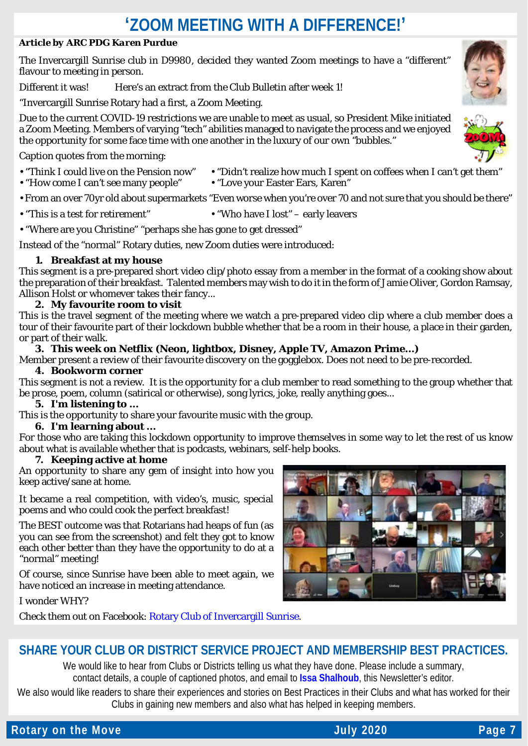### **'ZOOM MEETING WITH A DIFFERENCE!'**

### *Article by ARC PDG Karen Purdue*

The Invercargill Sunrise club in D9980, decided they wanted Zoom meetings to have a "different" flavour to meeting in person.

Different it was! Here's an extract from the Club Bulletin after week 1!

"Invercargill Sunrise Rotary had a first, a Zoom Meeting.

Due to the current COVID-19 restrictions we are unable to meet as usual, so President Mike initiated a Zoom Meeting. Members of varying "tech" abilities managed to navigate the process and we enjoyed the opportunity for some face time with one another in the luxury of our own "bubbles."

Caption quotes from the morning:

- "How come I can't see many people"
- "Think I could live on the Pension now" "Didn't realize how much I spent on coffees when I can't get them"<br>• "Love your Easter Ears, Karen"

• From an over 70yr old about supermarkets "Even worse when you're over 70 and not sure that you should be there"

- "This is a test for retirement" "Who have I lost" early leavers
- 

• "Where are you Christine" "perhaps she has gone to get dressed"

Instead of the "normal" Rotary duties, new Zoom duties were introduced:

### **1. Breakfast at my house**

This segment is a pre-prepared short video clip/photo essay from a member in the format of a cooking show about the preparation of their breakfast. Talented members may wish to do it in the form of Jamie Oliver, Gordon Ramsay, Allison Holst or whomever takes their fancy...

### **2. My favourite room to visit**

This is the travel segment of the meeting where we watch a pre-prepared video clip where a club member does a tour of their favourite part of their lockdown bubble whether that be a room in their house, a place in their garden, or part of their walk.

### **3. This week on Netflix (Neon, lightbox, Disney, Apple TV, Amazon Prime...)**

Member present a review of their favourite discovery on the gogglebox. Does not need to be pre-recorded.

### **4. Bookworm corner**

This segment is not a review. It is the opportunity for a club member to read something to the group whether that be prose, poem, column (satirical or otherwise), song lyrics, joke, really anything goes...

### **5. I'm listening to ...**

This is the opportunity to share your favourite music with the group.

### **6. I'm learning about ...**

For those who are taking this lockdown opportunity to improve themselves in some way to let the rest of us know about what is available whether that is podcasts, webinars, self-help books.

#### **7. Keeping active at home**

An opportunity to share any gem of insight into how you keep active/sane at home.

It became a real competition, with video's, music, special poems and who could cook the perfect breakfast!

The BEST outcome was that Rotarians had heaps of fun (as you can see from the screenshot) and felt they got to know each other better than they have the opportunity to do at a "normal" meeting!

Of course, since Sunrise have been able to meet again, we have noticed an increase in meeting attendance.

I wonder WHY?

Check them out on Facebook: [Rotary Club of Invercargill Sunrise.](https://www.facebook.com/InvercargillSunriseRotary/)

### **SHARE YOUR CLUB OR DISTRICT SERVICE PROJECT AND MEMBERSHIP BEST PRACTICES.**

We would like to hear from Clubs or Districts telling us what they have done. Please include a summary, contact details, a couple of captioned photos, and email to **[Issa Shalhoub](mailto:drissa@bigpond.com)**, this Newsletter's editor*.*

We also would like readers to share their experiences and stories on Best Practices in their Clubs and what has worked for their Clubs in gaining new members and also what has helped in keeping members.